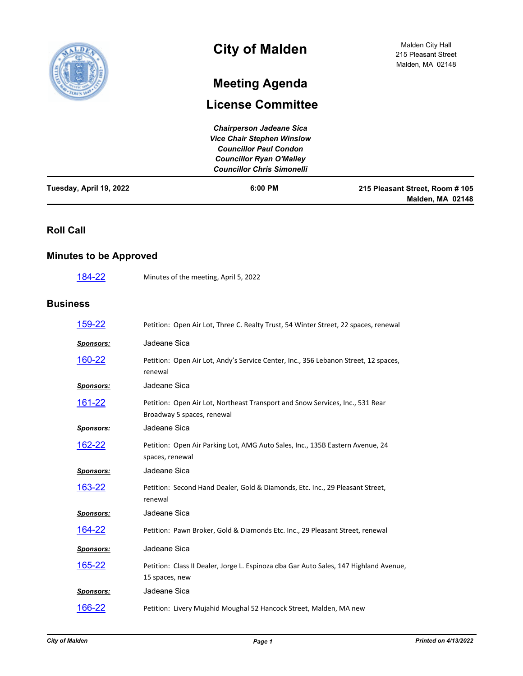

# **City of Malden**

# **Meeting Agenda**

## **License Committee**

| Tuesday, April 19, 2022 | $6:00$ PM                         | 215 Pleasant Street, Room #105<br>Malden, MA 02148 |
|-------------------------|-----------------------------------|----------------------------------------------------|
|                         | <b>Councillor Chris Simonelli</b> |                                                    |
|                         | <b>Councillor Ryan O'Malley</b>   |                                                    |
|                         | <b>Councillor Paul Condon</b>     |                                                    |
|                         | <b>Vice Chair Stephen Winslow</b> |                                                    |
|                         | <b>Chairperson Jadeane Sica</b>   |                                                    |

#### **Roll Call**

#### **Minutes to be Approved**

| 184-22<br>Minutes of the meeting, April 5, 2022 |  |
|-------------------------------------------------|--|
|-------------------------------------------------|--|

#### **Business**

| <u>159-22</u>    | Petition: Open Air Lot, Three C. Realty Trust, 54 Winter Street, 22 spaces, renewal                         |
|------------------|-------------------------------------------------------------------------------------------------------------|
| <b>Sponsors:</b> | Jadeane Sica                                                                                                |
| <u>160-22</u>    | Petition: Open Air Lot, Andy's Service Center, Inc., 356 Lebanon Street, 12 spaces,<br>renewal              |
| Sponsors:        | Jadeane Sica                                                                                                |
| <u>161-22</u>    | Petition: Open Air Lot, Northeast Transport and Snow Services, Inc., 531 Rear<br>Broadway 5 spaces, renewal |
| <b>Sponsors:</b> | Jadeane Sica                                                                                                |
| <u>162-22</u>    | Petition: Open Air Parking Lot, AMG Auto Sales, Inc., 135B Eastern Avenue, 24<br>spaces, renewal            |
| <b>Sponsors:</b> | Jadeane Sica                                                                                                |
| 163-22           | Petition: Second Hand Dealer, Gold & Diamonds, Etc. Inc., 29 Pleasant Street,<br>renewal                    |
| <b>Sponsors:</b> | Jadeane Sica                                                                                                |
| <u> 164-22</u>   | Petition: Pawn Broker, Gold & Diamonds Etc. Inc., 29 Pleasant Street, renewal                               |
| <b>Sponsors:</b> | Jadeane Sica                                                                                                |
| <u>165-22</u>    | Petition: Class II Dealer, Jorge L. Espinoza dba Gar Auto Sales, 147 Highland Avenue,<br>15 spaces, new     |
| <b>Sponsors:</b> | Jadeane Sica                                                                                                |
| 166-22           | Petition: Livery Mujahid Moughal 52 Hancock Street, Malden, MA new                                          |